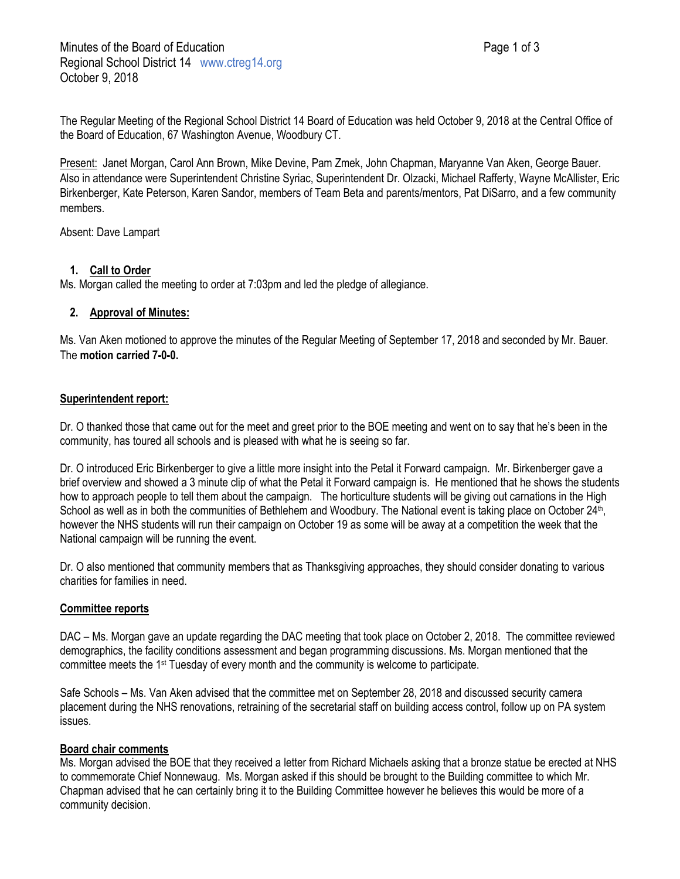The Regular Meeting of the Regional School District 14 Board of Education was held October 9, 2018 at the Central Office of the Board of Education, 67 Washington Avenue, Woodbury CT.

Present: Janet Morgan, Carol Ann Brown, Mike Devine, Pam Zmek, John Chapman, Maryanne Van Aken, George Bauer. Also in attendance were Superintendent Christine Syriac, Superintendent Dr. Olzacki, Michael Rafferty, Wayne McAllister, Eric Birkenberger, Kate Peterson, Karen Sandor, members of Team Beta and parents/mentors, Pat DiSarro, and a few community members.

Absent: Dave Lampart

# **1. Call to Order**

Ms. Morgan called the meeting to order at 7:03pm and led the pledge of allegiance.

## **2. Approval of Minutes:**

Ms. Van Aken motioned to approve the minutes of the Regular Meeting of September 17, 2018 and seconded by Mr. Bauer. The **motion carried 7-0-0.**

### **Superintendent report:**

Dr. O thanked those that came out for the meet and greet prior to the BOE meeting and went on to say that he's been in the community, has toured all schools and is pleased with what he is seeing so far.

Dr. O introduced Eric Birkenberger to give a little more insight into the Petal it Forward campaign. Mr. Birkenberger gave a brief overview and showed a 3 minute clip of what the Petal it Forward campaign is. He mentioned that he shows the students how to approach people to tell them about the campaign. The horticulture students will be giving out carnations in the High School as well as in both the communities of Bethlehem and Woodbury. The National event is taking place on October 24<sup>th</sup>, however the NHS students will run their campaign on October 19 as some will be away at a competition the week that the National campaign will be running the event.

Dr. O also mentioned that community members that as Thanksgiving approaches, they should consider donating to various charities for families in need.

## **Committee reports**

DAC – Ms. Morgan gave an update regarding the DAC meeting that took place on October 2, 2018. The committee reviewed demographics, the facility conditions assessment and began programming discussions. Ms. Morgan mentioned that the committee meets the 1st Tuesday of every month and the community is welcome to participate.

Safe Schools – Ms. Van Aken advised that the committee met on September 28, 2018 and discussed security camera placement during the NHS renovations, retraining of the secretarial staff on building access control, follow up on PA system issues.

## **Board chair comments**

Ms. Morgan advised the BOE that they received a letter from Richard Michaels asking that a bronze statue be erected at NHS to commemorate Chief Nonnewaug. Ms. Morgan asked if this should be brought to the Building committee to which Mr. Chapman advised that he can certainly bring it to the Building Committee however he believes this would be more of a community decision.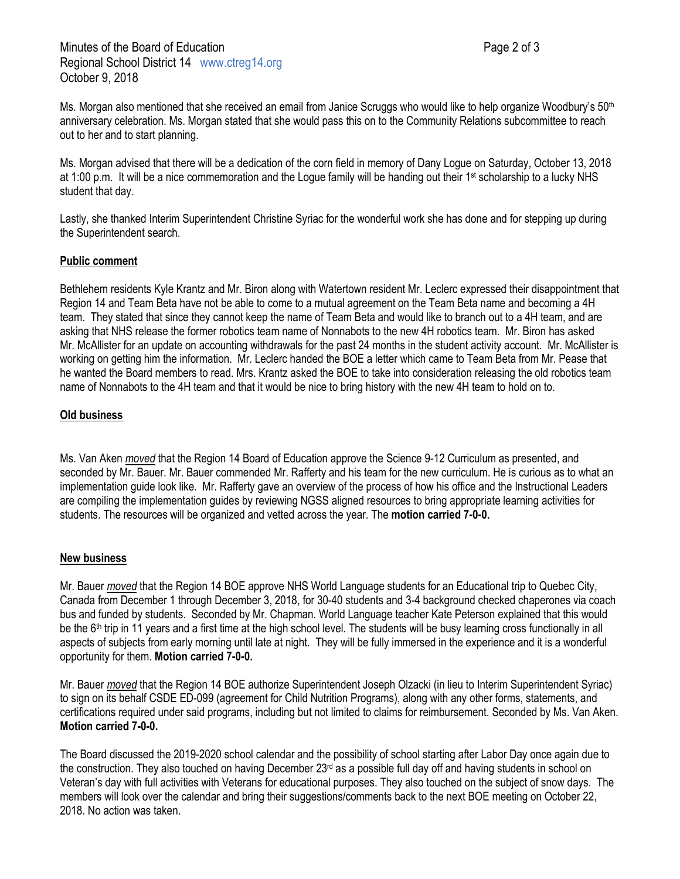Ms. Morgan also mentioned that she received an email from Janice Scruggs who would like to help organize Woodbury's 50<sup>th</sup> anniversary celebration. Ms. Morgan stated that she would pass this on to the Community Relations subcommittee to reach out to her and to start planning.

Ms. Morgan advised that there will be a dedication of the corn field in memory of Dany Logue on Saturday, October 13, 2018 at 1:00 p.m. It will be a nice commemoration and the Logue family will be handing out their 1<sup>st</sup> scholarship to a lucky NHS student that day.

Lastly, she thanked Interim Superintendent Christine Syriac for the wonderful work she has done and for stepping up during the Superintendent search.

### **Public comment**

Bethlehem residents Kyle Krantz and Mr. Biron along with Watertown resident Mr. Leclerc expressed their disappointment that Region 14 and Team Beta have not be able to come to a mutual agreement on the Team Beta name and becoming a 4H team. They stated that since they cannot keep the name of Team Beta and would like to branch out to a 4H team, and are asking that NHS release the former robotics team name of Nonnabots to the new 4H robotics team. Mr. Biron has asked Mr. McAllister for an update on accounting withdrawals for the past 24 months in the student activity account. Mr. McAllister is working on getting him the information. Mr. Leclerc handed the BOE a letter which came to Team Beta from Mr. Pease that he wanted the Board members to read. Mrs. Krantz asked the BOE to take into consideration releasing the old robotics team name of Nonnabots to the 4H team and that it would be nice to bring history with the new 4H team to hold on to.

#### **Old business**

Ms. Van Aken *moved* that the Region 14 Board of Education approve the Science 9-12 Curriculum as presented, and seconded by Mr. Bauer. Mr. Bauer commended Mr. Rafferty and his team for the new curriculum. He is curious as to what an implementation guide look like. Mr. Rafferty gave an overview of the process of how his office and the Instructional Leaders are compiling the implementation guides by reviewing NGSS aligned resources to bring appropriate learning activities for students. The resources will be organized and vetted across the year. The **motion carried 7-0-0.**

#### **New business**

Mr. Bauer *moved* that the Region 14 BOE approve NHS World Language students for an Educational trip to Quebec City, Canada from December 1 through December 3, 2018, for 30-40 students and 3-4 background checked chaperones via coach bus and funded by students. Seconded by Mr. Chapman. World Language teacher Kate Peterson explained that this would be the 6<sup>th</sup> trip in 11 years and a first time at the high school level. The students will be busy learning cross functionally in all aspects of subjects from early morning until late at night. They will be fully immersed in the experience and it is a wonderful opportunity for them. **Motion carried 7-0-0.**

Mr. Bauer *moved* that the Region 14 BOE authorize Superintendent Joseph Olzacki (in lieu to Interim Superintendent Syriac) to sign on its behalf CSDE ED-099 (agreement for Child Nutrition Programs), along with any other forms, statements, and certifications required under said programs, including but not limited to claims for reimbursement. Seconded by Ms. Van Aken. **Motion carried 7-0-0.**

The Board discussed the 2019-2020 school calendar and the possibility of school starting after Labor Day once again due to the construction. They also touched on having December 23<sup>rd</sup> as a possible full day off and having students in school on Veteran's day with full activities with Veterans for educational purposes. They also touched on the subject of snow days. The members will look over the calendar and bring their suggestions/comments back to the next BOE meeting on October 22, 2018. No action was taken.